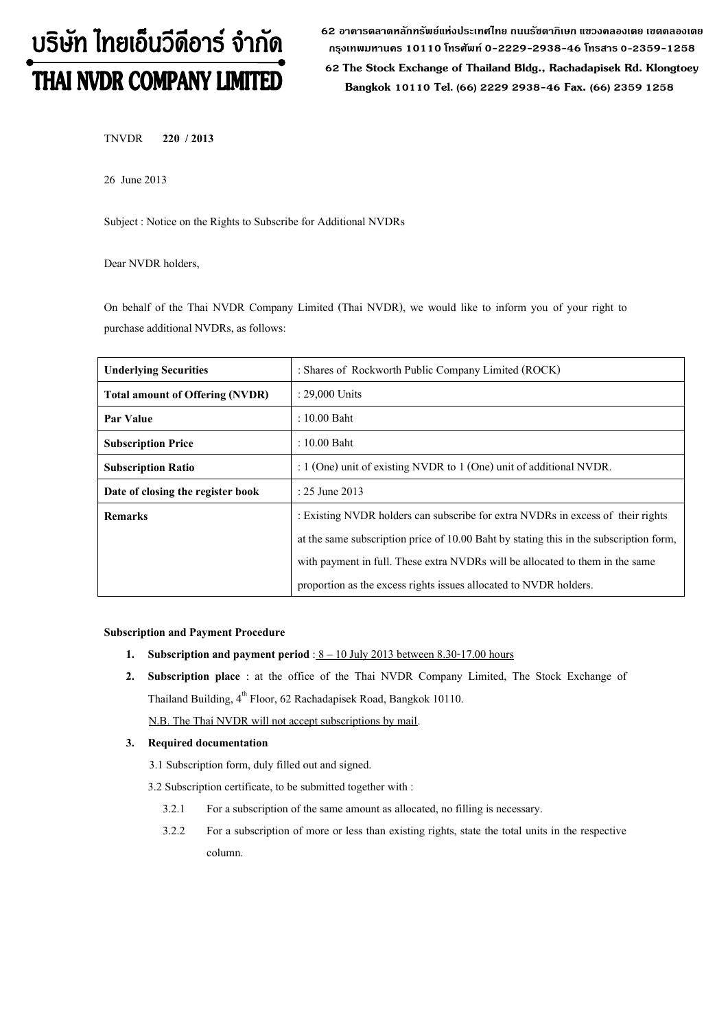# บริษัท ไทยเอ็นวีดีอาร์ จำกัด THAI NVDR COMPANY LIMITED

**62 อาคารตลาดหลักทรัพย์แห่งประเทศไทย ถนนรัชดาภิเษก แขวงคลองเตย เขตคลองเตย กรุงเทพมหานคร 10110 โทรศัพท์0-2229-2938-46 โทรสาร 0-2359-1258**

 **62 The Stock Exchange of Thailand Bldg., Rachadapisek Rd. Klongtoey Bangkok 10110 Tel. (66) 2229 2938-46 Fax. (66) 2359 1258**

TNVDR **220 / 2013**

26 June2013

Subject : Notice on the Rights to Subscribe for Additional NVDRs

Dear NVDR holders,

On behalf of the Thai NVDR Company Limited (Thai NVDR), we would like to inform you of your right to purchase additional NVDRs, as follows:

| <b>Underlying Securities</b>           | : Shares of Rockworth Public Company Limited (ROCK)                                    |
|----------------------------------------|----------------------------------------------------------------------------------------|
| <b>Total amount of Offering (NVDR)</b> | $: 29,000$ Units                                                                       |
| Par Value                              | $: 10.00$ Baht                                                                         |
| <b>Subscription Price</b>              | $: 10.00$ Baht                                                                         |
| <b>Subscription Ratio</b>              | : 1 (One) unit of existing NVDR to 1 (One) unit of additional NVDR.                    |
| Date of closing the register book      | : $25$ June $2013$                                                                     |
| <b>Remarks</b>                         | : Existing NVDR holders can subscribe for extra NVDRs in excess of their rights        |
|                                        | at the same subscription price of 10.00 Baht by stating this in the subscription form, |
|                                        | with payment in full. These extra NVDRs will be allocated to them in the same          |
|                                        | proportion as the excess rights issues allocated to NVDR holders.                      |

#### **Subscription and Payment Procedure**

- **1.** Subscription and payment period :  $8 10$  July 2013 between 8.30-17.00 hours
- **2. Subscription place** : at the office of the Thai NVDR Company Limited, The Stock Exchange of Thailand Building, 4<sup>th</sup> Floor, 62 Rachadapisek Road, Bangkok 10110.

N.B. The Thai NVDR will not accept subscriptions by mail.

#### **3. Required documentation**

3.1 Subscription form, duly filled out and signed.

- 3.2 Subscription certificate, to be submitted together with :
	- 3.2.1 For a subscription of the same amount as allocated, no filling is necessary.
	- 3.2.2 For a subscription of more or less than existing rights, state the total units in the respective column.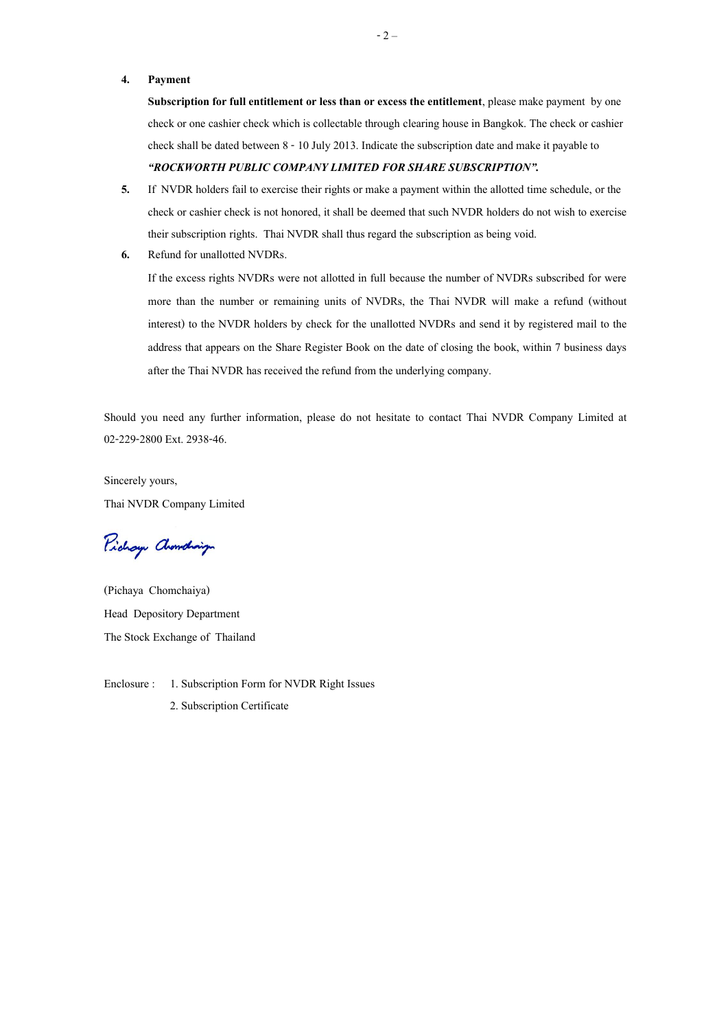#### **4. Payment**

**Subscription for full entitlement or less than or excess the entitlement**, please make payment by one check or one cashier check which is collectable through clearing house in Bangkok. The check or cashier check shall be dated between 8- 10July2013. Indicate the subscription date and make it payable to

#### *"ROCKWORTH PUBLIC COMPANY LIMITED FOR SHARE SUBSCRIPTION".*

- **5.** If NVDR holders fail to exercise their rights or make a payment within the allotted time schedule, or the check or cashier check is not honored, it shall be deemed that such NVDR holders do not wish to exercise their subscription rights. Thai NVDR shall thus regard the subscription as being void.
- **6.** Refund for unallotted NVDRs.

If the excess rights NVDRs were not allotted in full because the number of NVDRs subscribed for were more than the number or remaining units of NVDRs, the Thai NVDR will make a refund (without interest) to the NVDR holders by check for the unallotted NVDRs and send it by registered mail to the address that appears on the Share Register Book on the date of closing the book, within 7 business days after the Thai NVDR has received the refund from the underlying company.

Should you need any further information, please do not hesitate to contact Thai NVDR Company Limited at 02-229-2800 Ext. 2938-46.

Sincerely yours, Thai NVDR Company Limited

Pichay Chamdraign

(Pichaya Chomchaiya) Head Depository Department The Stock Exchange of Thailand

Enclosure : 1. Subscription Form for NVDR Right Issues 2. Subscription Certificate